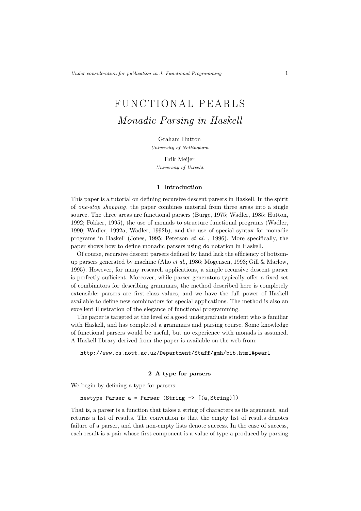# FUNCTIONAL PEARLS Monadic Parsing in Haskell

Graham Hutton University of Nottingham

Erik Meijer University of Utrecht

#### 1 Introduction

This paper is a tutorial on defining recursive descent parsers in Haskell. In the spirit of one-stop shopping, the paper combines material from three areas into a single source. The three areas are functional parsers (Burge, 1975; Wadler, 1985; Hutton, 1992; Fokker, 1995), the use of monads to structure functional programs (Wadler, 1990; Wadler, 1992a; Wadler, 1992b), and the use of special syntax for monadic programs in Haskell (Jones, 1995; Peterson et al. , 1996). More specifically, the paper shows how to define monadic parsers using do notation in Haskell.

Of course, recursive descent parsers defined by hand lack the efficiency of bottomup parsers generated by machine (Aho et al., 1986; Mogensen, 1993; Gill & Marlow, 1995). However, for many research applications, a simple recursive descent parser is perfectly sufficient. Moreover, while parser generators typically offer a fixed set of combinators for describing grammars, the method described here is completely extensible: parsers are first-class values, and we have the full power of Haskell available to define new combinators for special applications. The method is also an excellent illustration of the elegance of functional programming.

The paper is targeted at the level of a good undergraduate student who is familiar with Haskell, and has completed a grammars and parsing course. Some knowledge of functional parsers would be useful, but no experience with monads is assumed. A Haskell library derived from the paper is available on the web from:

http://www.cs.nott.ac.uk/Department/Staff/gmh/bib.html#pearl

## 2 A type for parsers

We begin by defining a type for parsers:

newtype Parser  $a =$  Parser (String  $\rightarrow$  [(a, String)])

That is, a parser is a function that takes a string of characters as its argument, and returns a list of results. The convention is that the empty list of results denotes failure of a parser, and that non-empty lists denote success. In the case of success, each result is a pair whose first component is a value of type a produced by parsing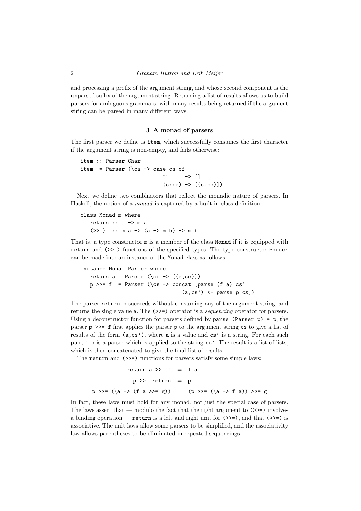and processing a prefix of the argument string, and whose second component is the unparsed suffix of the argument string. Returning a list of results allows us to build parsers for ambiguous grammars, with many results being returned if the argument string can be parsed in many different ways.

## 3 A monad of parsers

The first parser we define is item, which successfully consumes the first character if the argument string is non-empty, and fails otherwise:

```
item :: Parser Char
item = Parser (\csc -\csc \csc x)" " " - \rightarrow [](c:cs) \rightarrow [(c,cs)]
```
Next we define two combinators that reflect the monadic nature of parsers. In Haskell, the notion of a monad is captured by a built-in class definition:

```
class Monad m where
  return :: a -> m a
   (\gg)=) :: m a -> (a \to m b) -> m b
```
That is, a type constructor m is a member of the class Monad if it is equipped with return and (>>=) functions of the specified types. The type constructor Parser can be made into an instance of the Monad class as follows:

```
instance Monad Parser where
   return a = Parser (\cs \rightarrow [a, cs)])p \gg= f = Parser (\cs -> concat [parse (f a) cs' |
                                    (a, cs') \leftarrow parse p cs]
```
The parser return a succeeds without consuming any of the argument string, and returns the single value **a**. The (>>=) operator is a *sequencing* operator for parsers. Using a deconstructor function for parsers defined by parse (Parser  $p$ ) = p, the parser  $p \gg = f$  first applies the parser p to the argument string cs to give a list of results of the form  $(a, cs')$ , where a is a value and  $cs'$  is a string. For each such pair, f a is a parser which is applied to the string cs'. The result is a list of lists, which is then concatenated to give the final list of results.

The return and  $(\gg)=$ ) functions for parsers satisfy some simple laws:

```
return a \gg=f = f a
                  p \gg= return = pp \gg = (\langle a \rightarrow (f a \rangle) = g) = (p \gg = (\langle a \rightarrow f a) \rangle) \gg = g
```
In fact, these laws must hold for any monad, not just the special case of parsers. The laws assert that — modulo the fact that the right argument to  $(\gg)=$ ) involves a binding operation — return is a left and right unit for (>>=), and that (>>=) is associative. The unit laws allow some parsers to be simplified, and the associativity law allows parentheses to be eliminated in repeated sequencings.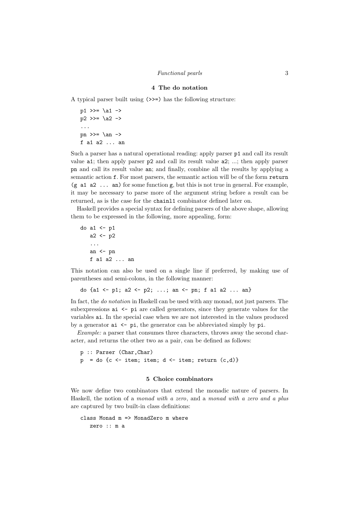### 4 The do notation

A typical parser built using (>>=) has the following structure:

 $p1 \gg = \lceil a1 - \rceil$  $p2 \gg = \{a2 - b$ ... pn >>=  $\an$ f a1 a2 ... an

Such a parser has a natural operational reading: apply parser p1 and call its result value a1; then apply parser p2 and call its result value a2; ...; then apply parser pn and call its result value an; and finally, combine all the results by applying a semantic action f. For most parsers, the semantic action will be of the form return  $(g \t a1 a2 ... an)$  for some function g, but this is not true in general. For example, it may be necessary to parse more of the argument string before a result can be returned, as is the case for the chainl1 combinator defined later on.

Haskell provides a special syntax for defining parsers of the above shape, allowing them to be expressed in the following, more appealing, form:

```
do a1 \leftarrow p1a2 < -p2...
   an \leftarrow pn
   f a1 a2 ... an
```
This notation can also be used on a single line if preferred, by making use of parentheses and semi-colons, in the following manner:

do {a1 <- p1; a2 <- p2; ...; an <- pn; f a1 a2 ... an}

In fact, the do notation in Haskell can be used with any monad, not just parsers. The subexpressions  $ai \leftarrow pi$  are called generators, since they generate values for the variables ai. In the special case when we are not interested in the values produced by a generator  $ai \leq pi$ , the generator can be abbreviated simply by  $pi$ .

Example: a parser that consumes three characters, throws away the second character, and returns the other two as a pair, can be defined as follows:

```
p :: Parser (Char,Char)
p = do \{c \leftarrow item; item; d \leftarrow item; return (c,d) \}
```
#### 5 Choice combinators

We now define two combinators that extend the monadic nature of parsers. In Haskell, the notion of a monad with a zero, and a monad with a zero and a plus are captured by two built-in class definitions:

```
class Monad m => MonadZero m where
  zero :: m a
```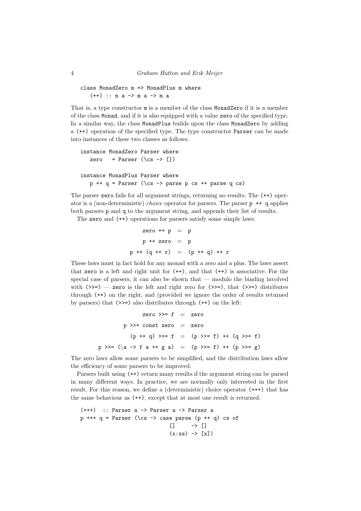```
class MonadZero m => MonadPlus m where
   (++) :: m a - m a - m a
```
That is, a type constructor m is a member of the class MonadZero if it is a member of the class Monad, and if it is also equipped with a value zero of the specified type. In a similar way, the class MonadPlus builds upon the class MonadZero by adding a (++) operation of the specified type. The type constructor Parser can be made into instances of these two classes as follows:

```
instance MonadZero Parser where
   zero = Parser (\cos \rightarrow []instance MonadPlus Parser where
  p ++ q = Parser (\cs -> parse p cs ++ parse q cs)
```
The parser zero fails for all argument strings, returning no results. The (++) operator is a (non-deterministic) *choice* operator for parsers. The parser  $p + q$  applies both parsers p and q to the argument string, and appends their list of results.

The zero and (++) operations for parsers satisfy some simple laws:

zero  $++ p = p$  $p +$  zero =  $p$  $p$  ++  $(q$  ++  $r)$  =  $(p$  ++  $q)$  ++  $r$ 

These laws must in fact hold for any monad with a zero and a plus. The laws assert that zero is a left and right unit for  $(++)$ , and that  $(+)$  is associative. For the special case of parsers, it can also be shown that — modulo the binding involved with  $(\gg)=$  - zero is the left and right zero for  $(\gg)=$ , that  $(\gg)=$  distributes through (++) on the right, and (provided we ignore the order of results returned by parsers) that  $(\gg=)$  also distributes through  $(++)$  on the left:

```
zero \gg=f = zero
         p \gg = const zero = zero
           (p + q) >>= f = (p >>= f) ++ (q >>= f)
p \gg = (\langle a \rightarrow f a + g a \rangle = (p \gg = f) + (p \gg = g)
```
The zero laws allow some parsers to be simplified, and the distribution laws allow the efficiency of some parsers to be improved.

Parsers built using (++) return many results if the argument string can be parsed in many different ways. In practice, we are normally only interested in the first result. For this reason, we define a (deterministic) choice operator (+++) that has the same behaviour as (++), except that at most one result is returned:

```
(+++) :: Parser a -> Parser a -> Parser a
p +++ q = Parser (\cs -> case parse (p ++ q) cs of
                                [] \rightarrow []
                               (x:xs) \rightarrow [x])
```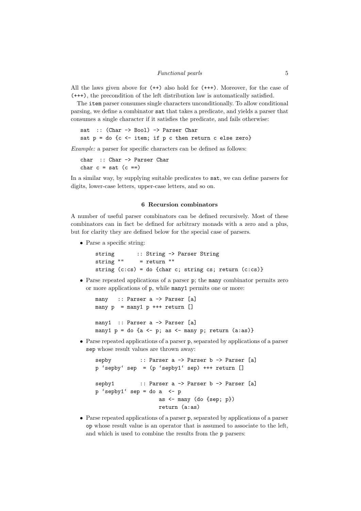#### Functional pearls 5

All the laws given above for (++) also hold for (+++). Moreover, for the case of (+++), the precondition of the left distribution law is automatically satisfied.

The item parser consumes single characters unconditionally. To allow conditional parsing, we define a combinator sat that takes a predicate, and yields a parser that consumes a single character if it satisfies the predicate, and fails otherwise:

```
sat :: (Char -> Bool) -> Parser Char
sat p = do {c <- item; if p c then return c else zero}
```
Example: a parser for specific characters can be defined as follows:

```
char :: Char -> Parser Char
char c = sat (c ==)
```
In a similar way, by supplying suitable predicates to sat, we can define parsers for digits, lower-case letters, upper-case letters, and so on.

## 6 Recursion combinators

A number of useful parser combinators can be defined recursively. Most of these combinators can in fact be defined for arbitrary monads with a zero and a plus, but for clarity they are defined below for the special case of parsers.

• Parse a specific string:

```
string :: String -> Parser String
string "" = return ""
string (c:cs) = do {char c; string cs; return (c:cs)}
```
• Parse repeated applications of a parser p; the many combinator permits zero or more applications of p, while many1 permits one or more:

```
many :: Parser a -> Parser [a]
many p = \text{many1 } p \text{ ++} return []
many1 :: Parser a -> Parser [a]
many1 p = do {a <- p; as <- many p; return (a:as)}
```
• Parse repeated applications of a parser p, separated by applications of a parser sep whose result values are thrown away:

```
sepby :: Parser a -> Parser b -> Parser [a]
p 'sepby' sep = (p 'sepby1' sep) +++ return []
sepby1 :: Parser a -> Parser b -> Parser [a]
p 'sepby1' sep = do a \leftarrow p
                   as <- many (do {sep; p})
                   return (a:as)
```
• Parse repeated applications of a parser p, separated by applications of a parser op whose result value is an operator that is assumed to associate to the left, and which is used to combine the results from the p parsers: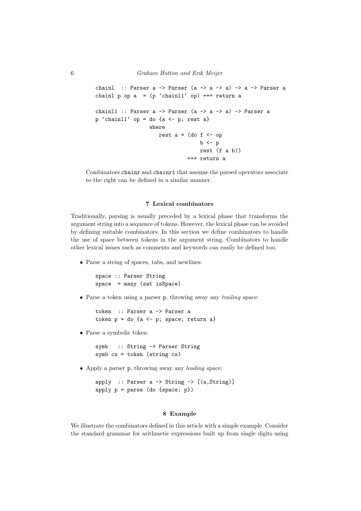```
chainl :: Parser a \rightarrow Parser (a \rightarrow a \rightarrow a) \rightarrow a \rightarrow Parser a
chainl p op a = (p 'chain11' op) +++ return achainl1 :: Parser a \rightarrow Parser (a \rightarrow a \rightarrow a) \rightarrow Parser a
p 'chainl1' op = do {a <- p; rest a}
                      where
                          rest a = (do f < - op)b \leq -prest (f a b))
                                      +++ return a
```
Combinators chainr and chainr1 that assume the parsed operators associate to the right can be defined in a similar manner.

## 7 Lexical combinators

Traditionally, parsing is usually preceded by a lexical phase that transforms the argument string into a sequence of tokens. However, the lexical phase can be avoided by defining suitable combinators. In this section we define combinators to handle the use of space between tokens in the argument string. Combinators to handle other lexical issues such as comments and keywords can easily be defined too.

• Parse a string of spaces, tabs, and newlines:

```
space :: Parser String
space = many (sat isSpace)
```
• Parse a token using a parser p, throwing away any *trailing* space:

token :: Parser a -> Parser a token  $p = do$  {a  $\leftarrow$  p; space; return a}

• Parse a symbolic token:

symb :: String -> Parser String symb cs = token (string cs)

• Apply a parser p, throwing away any leading space:

apply :: Parser a  $\rightarrow$  String  $\rightarrow$  [(a, String)] apply  $p = parse$  (do {space;  $p$ })

#### 8 Example

We illustrate the combinators defined in this article with a simple example. Consider the standard grammar for arithmetic expressions built up from single digits using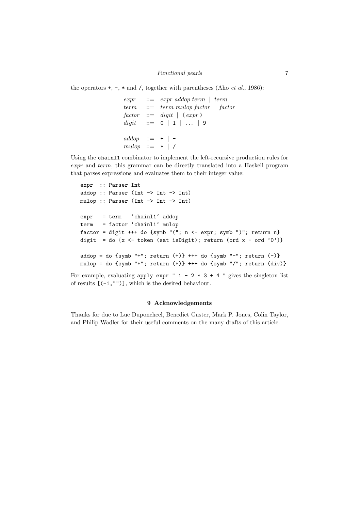## Functional pearls 7

the operators  $+, \neg, *$  and /, together with parentheses (Aho *et al.*, 1986):

 $expr ::= expr addop term \mid term$  $term$  ::=  $term$  mulop factor | factor  $factor$  ::= digit  $\vert$  (expr)  $digit$  ::= 0 | 1 | ... | 9  $addop \quad ::= \quad + \mid$  $mulop ::= * | /$ 

Using the chainl1 combinator to implement the left-recursive production rules for expr and term, this grammar can be directly translated into a Haskell program that parses expressions and evaluates them to their integer value:

```
expr :: Parser Int
addop :: Parser (Int -> Int -> Int)
mulop :: Parser (Int -> Int -> Int)
expr = term 'chainl1' addop
term = factor 'chainl1' mulop
factor = digit +++ do {symb "("; n <- expr; symb ")"; return n}
digit = do {x <- token (sat isDigit); return (ord x - ord '0')}
addop = do {symb "+"; return (+)} +++ do {symb "-"; return (-)}
mulop = do {symb "*"; return (*)} +++ do {symb "/"; return div)}
```
For example, evaluating apply expr "  $1 - 2 \times 3 + 4$  " gives the singleton list of results [(-1,"")], which is the desired behaviour.

#### 9 Acknowledgements

Thanks for due to Luc Duponcheel, Benedict Gaster, Mark P. Jones, Colin Taylor, and Philip Wadler for their useful comments on the many drafts of this article.